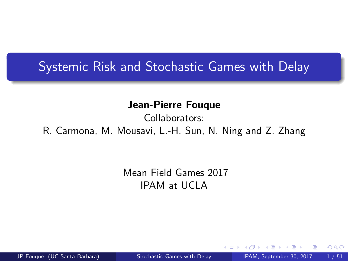#### <span id="page-0-0"></span>Systemic Risk and Stochastic Games with Delay

Jean-Pierre Fouque

Collaborators:

R. Carmona, M. Mousavi, L.-H. Sun, N. Ning and Z. Zhang

Mean Field Games 2017 IPAM at UCLA

JP Fouque (UC Santa Barbara) [Stochastic Games with Delay](#page-50-0) IPAM, September 30, 2017 1/51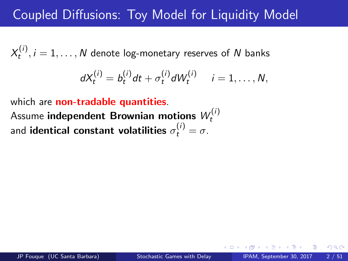## Coupled Diffusions: Toy Model for Liquidity Model

 $X_t^{(i)}$  $t^{(1)}_{t}, i = 1, \ldots, N$  denote log-monetary reserves of  $N$  banks

$$
dX_t^{(i)} = b_t^{(i)}dt + \sigma_t^{(i)}dW_t^{(i)} \quad i = 1,\ldots,N,
$$

which are **non-tradable quantities**. Assume independent Brownian motions  $W_t^{(i)}$ t and identical constant volatilities  $\sigma_t^{(i)}=\sigma.$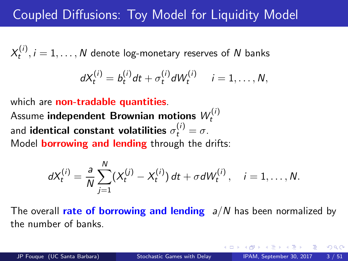## Coupled Diffusions: Toy Model for Liquidity Model

 $X_t^{(i)}$  $t^{(1)}_{t}, i = 1, \ldots, N$  denote log-monetary reserves of  $N$  banks

$$
dX_t^{(i)} = b_t^{(i)} dt + \sigma_t^{(i)} dW_t^{(i)} \quad i = 1, \ldots, N,
$$

which are **non-tradable quantities**. Assume independent Brownian motions  $W_t^{(i)}$ t and identical constant volatilities  $\sigma_t^{(i)}=\sigma.$ Model **borrowing and lending** through the drifts:

$$
dX_t^{(i)} = \frac{a}{N} \sum_{j=1}^N (X_t^{(j)} - X_t^{(i)}) dt + \sigma dW_t^{(i)}, \quad i = 1, \ldots, N.
$$

The overall rate of borrowing and lending  $a/N$  has been normalized by the number of banks.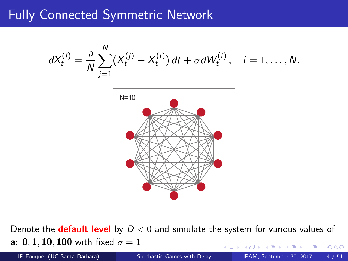## Fully Connected Symmetric Network



Denote the **default level** by  $D < 0$  and simulate the system for various values of **a**: **0.1.10.100** with fixed  $\sigma = 1$  $QQ$ 

JP Fouque (UC Santa Barbara) [Stochastic Games with Delay](#page-0-0) IPAM, September 30, 2017 4 / 51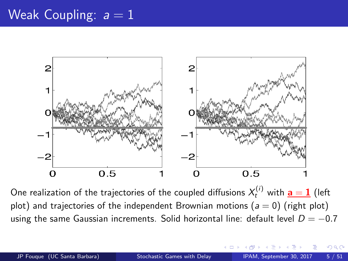## Weak Coupling:  $a = 1$



One realization of the trajectories of the coupled diffusions  $X_t^{(i)}$  with  $\underline{\mathbf{a}}=\underline{\mathbf{1}}$  (left plot) and trajectories of the independent Brownian motions ( $a = 0$ ) (right plot) using the same Gaussian increments. Solid horizontal line: default level  $D = -0.7$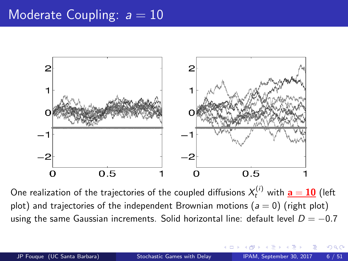#### Moderate Coupling:  $a = 10$



One realization of the trajectories of the coupled diffusions  $X_t^{(i)}$  with  $\underline{\mathbf{a}} = \mathbf{10}$  (left plot) and trajectories of the independent Brownian motions ( $a = 0$ ) (right plot) using the same Gaussian increments. Solid horizontal line: default level  $D = -0.7$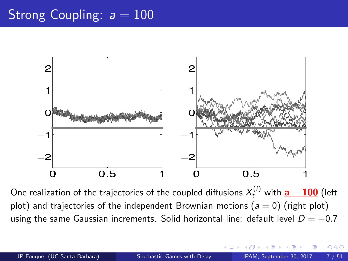## Strong Coupling:  $a = 100$



One realization of the trajectories of the coupled diffusions  $X_t^{(i)}$  with  ${\bf a} = {\bf 100}$  (left plot) and trajectories of the independent Brownian motions ( $a = 0$ ) (right plot) using the same Gaussian increments. Solid horizontal line: default level  $D = -0.7$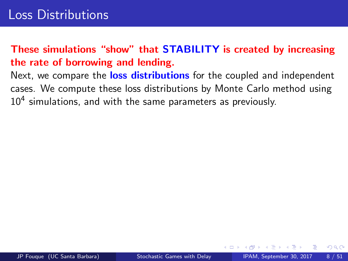#### These simulations "show" that STABILITY is created by increasing the rate of borrowing and lending.

Next, we compare the loss distributions for the coupled and independent cases. We compute these loss distributions by Monte Carlo method using  $10^4$  simulations, and with the same parameters as previously.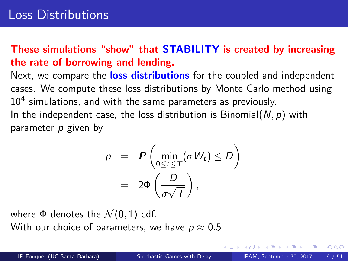#### These simulations "show" that STABILITY is created by increasing the rate of borrowing and lending.

Next, we compare the loss distributions for the coupled and independent cases. We compute these loss distributions by Monte Carlo method using  $10^4$  simulations, and with the same parameters as previously. In the independent case, the loss distribution is Binomial( $N, p$ ) with parameter  $p$  given by

$$
p = P\left(\min_{0 \le t \le T} (\sigma W_t) \le D\right)
$$
  
=  $2\Phi\left(\frac{D}{\sigma\sqrt{T}}\right),$ 

where  $\Phi$  denotes the  $\mathcal{N}(0,1)$  cdf. With our choice of parameters, we have  $p \approx 0.5$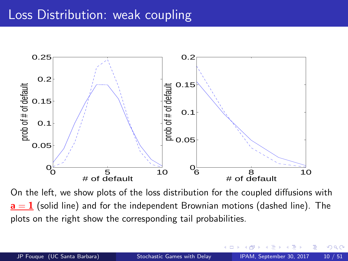

On the left, we show plots of the loss distribution for the coupled diffusions with  $a = 1$  (solid line) and for the independent Brownian motions (dashed line). The plots on the right show the corresponding tail probabilities.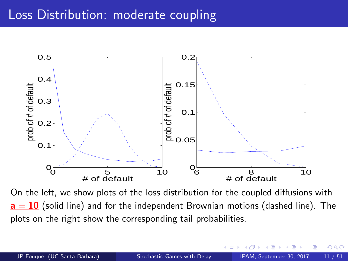### Loss Distribution: moderate coupling



On the left, we show plots of the loss distribution for the coupled diffusions with  $a = 10$  (solid line) and for the independent Brownian motions (dashed line). The plots on the right show the corresponding tail probabilities.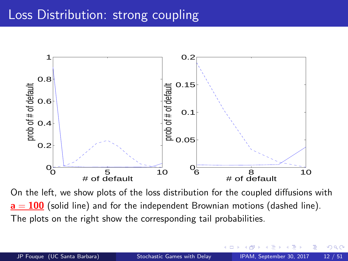

On the left, we show plots of the loss distribution for the coupled diffusions with  $a = 100$  (solid line) and for the independent Brownian motions (dashed line). The plots on the right show the corresponding tail probabilities.

 $\Omega$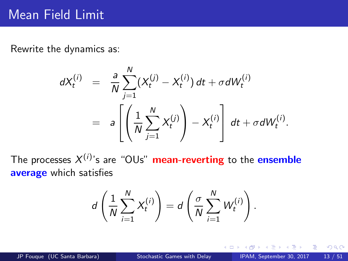Rewrite the dynamics as:

$$
dX_t^{(i)} = \frac{a}{N} \sum_{j=1}^N (X_t^{(j)} - X_t^{(i)}) dt + \sigma dW_t^{(i)}
$$
  
=  $a \left[ \left( \frac{1}{N} \sum_{j=1}^N X_t^{(j)} \right) - X_t^{(i)} \right] dt + \sigma dW_t^{(i)}.$ 

The processes X (i ) 's are "OUs" mean-reverting to the ensemble average which satisfies

$$
d\left(\frac{1}{N}\sum_{i=1}^N X_t^{(i)}\right) = d\left(\frac{\sigma}{N}\sum_{i=1}^N W_t^{(i)}\right).
$$

4 0 8

B

 $2Q$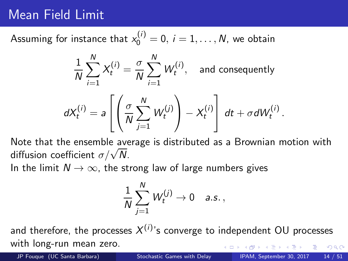## Mean Field Limit

# Assuming for instance that  $x_0^{(i)} = 0, i = 1, \ldots, N$ , we obtain

$$
\frac{1}{N} \sum_{i=1}^{N} X_t^{(i)} = \frac{\sigma}{N} \sum_{i=1}^{N} W_t^{(i)}, \text{ and consequently}
$$

$$
dX_t^{(i)} = a \left[ \left( \frac{\sigma}{N} \sum_{j=1}^{N} W_t^{(j)} \right) - X_t^{(i)} \right] dt + \sigma dW_t^{(i)}.
$$

Note that the ensemble average is distributed as a Brownian motion with diffusion coefficient  $\sigma/\sqrt{N}$ .

In the limit  $N \to \infty$ , the strong law of large numbers gives

$$
\frac{1}{N}\sum_{j=1}^N W_t^{(j)} \to 0 \quad \text{a.s.}\,,
$$

and therefore, the processes  $X^{(i)}$ 's converge to independent OU processes with long-run mean zero.  $QQ$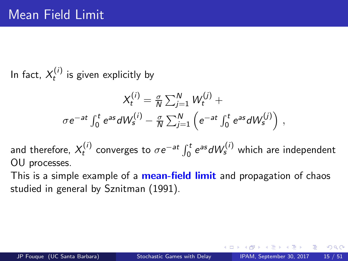<span id="page-14-0"></span>In fact,  $X_t^{(i)}$  $t'$  is given explicitly by

$$
X_t^{(i)} = \frac{\sigma}{N} \sum_{j=1}^N W_t^{(j)} +
$$

$$
\sigma e^{-at} \int_0^t e^{as} dW_s^{(i)} - \frac{\sigma}{N} \sum_{j=1}^N \left( e^{-at} \int_0^t e^{as} dW_s^{(j)} \right),
$$

and therefore,  $X_t^{(i)}$  $\sigma_t^{(i)}$  converges to  $\sigma e^{-at}\int_0^t e^{as}dW_s^{(i)}$  which are independent OU processes.

This is a simple example of a **mean-field limit** and propagation of chaos studied in general by Sznitman (1991).

 $\Omega$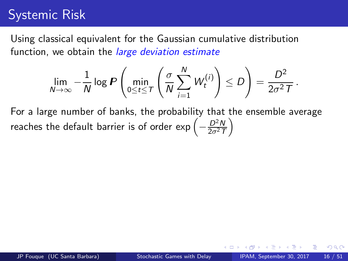## <span id="page-15-0"></span>Systemic Risk

Using classical equivalent for the Gaussian cumulative distribution function, we obtain the *large deviation estimate* 

$$
\lim_{N\to\infty}-\frac{1}{N}\log P\left(\min_{0\leq t\leq T}\left(\frac{\sigma}{N}\sum_{i=1}^N W_t^{(i)}\right)\leq D\right)=\frac{D^2}{2\sigma^2 T}.
$$

For a large number of banks, the probability that the ensemble average reaches the default barrier is of order exp  $\left(-\frac{D^2N}{2\sigma^2T}\right)$  $\frac{D^2N}{2\sigma^2T}$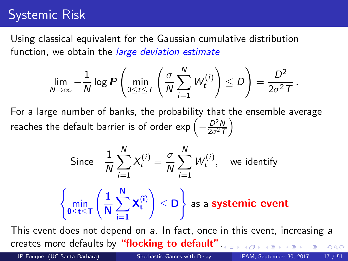## <span id="page-16-0"></span>Systemic Risk

Using classical equivalent for the Gaussian cumulative distribution function, we obtain the *large deviation estimate* 

$$
\lim_{N\to\infty}-\frac{1}{N}\log P\left(\min_{0\leq t\leq T}\left(\frac{\sigma}{N}\sum_{i=1}^N W_t^{(i)}\right)\leq D\right)=\frac{D^2}{2\sigma^2 T}.
$$

For a large number of banks, the probability that the ensemble average reaches the default barrier is of order exp  $\left(-\frac{D^2N}{2\sigma^2T}\right)$  $\frac{D^2N}{2\sigma^2T}$ 

> Since  $\frac{1}{N}$  $\sum$ N  $i=1$  $X_t^{(i)} = \frac{\sigma}{\Lambda}$ N  $\sum$ N  $i=1$  $W_t^{(i)}$  $t^{\prime\prime\prime}$ , we identify  $\sqrt{2}$ min 0≤t≤T  $\sqrt{1}$ N  $\sum$ N  $i=1$  $\mathsf{X}_\mathsf{t}^\mathsf{(i)}$ t  $\setminus$  $\leq$  D ) as a systemic event

This event does not depend on a. In fact, once in this event, increasing a creates more defaults by "flocking to default"[.](#page-15-0)  $QQ$ 

JP Fouque (UC Santa Barbara) [Stochastic Games with Delay](#page-0-0) IPAM, September 30, 2017 17 / 51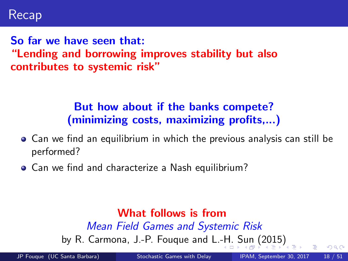<span id="page-17-0"></span>So far we have seen that: "Lending and borrowing improves stability but also contributes to systemic risk"

#### But how about if the banks compete? (minimizing costs, maximizing profits,...)

- Can we find an equilibrium in which the previous analysis can still be performed?
- Can we find and characterize a Nash equilibrium?

#### What follows is from Mean Field Games and Systemic Risk by R. Carmona, J.-P. Fouque and L.[-H](#page-16-0). [S](#page-18-0)[u](#page-16-0)[n](#page-17-0) [\(](#page-18-0)[20](#page-0-0)[15](#page-50-0)[\)](#page-0-0)

JP Fouque (UC Santa Barbara) [Stochastic Games with Delay](#page-0-0) IPAM, September 30, 2017 18 / 51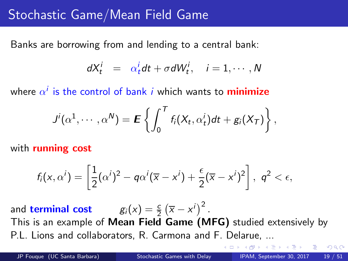### <span id="page-18-0"></span>Stochastic Game/Mean Field Game

Banks are borrowing from and lending to a central bank:

$$
dX_t^i = \alpha_t^i dt + \sigma dW_t^i, \quad i = 1, \cdots, N
$$

where  $\alpha^i$  is the control of bank  $i$  which wants to  $\mathsf{minimize}$ 

$$
J^{i}(\alpha^{1}, \cdots, \alpha^{N}) = \mathbf{E}\left\{\int_{0}^{T} f_{i}(X_{t}, \alpha_{t}^{i})dt + g_{i}(X_{T})\right\},\,
$$

with **running cost** 

$$
f_i(x, \alpha^i) = \left[\frac{1}{2}(\alpha^i)^2 - q\alpha^i(\overline{x} - x^i) + \frac{\epsilon}{2}(\overline{x} - x^i)^2\right], \ q^2 < \epsilon,
$$

and **terminal cost**  $g_i(x) = \frac{c}{2} (\overline{x} - x^i)^2$ . This is an example of Mean Field Game (MFG) studied extensively by P.L. Lions and collaborators, R. Carmona and F. Delarue, ...

 $QQQ$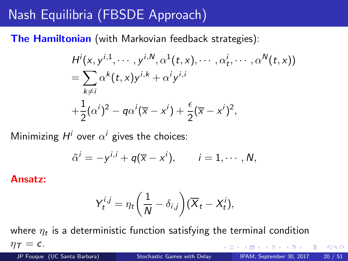## Nash Equilibria (FBSDE Approach)

The Hamiltonian (with Markovian feedback strategies):

$$
H^{i}(x, y^{i,1}, \dots, y^{i,N}, \alpha^{1}(t, x), \dots, \alpha_{t}^{i}, \dots, \alpha^{N}(t, x))
$$
  
= 
$$
\sum_{k \neq i} \alpha^{k}(t, x) y^{i,k} + \alpha^{i} y^{i,i}
$$
  
+ 
$$
\frac{1}{2} (\alpha^{i})^{2} - q \alpha^{i} (\overline{x} - x^{i}) + \frac{\epsilon}{2} (\overline{x} - x^{i})^{2},
$$

Minimizing  $H^i$  over  $\alpha^i$  gives the choices:

$$
\hat{\alpha}^i = -y^{i,i} + q(\overline{x} - x^i), \qquad i = 1, \cdots, N,
$$

Ansatz:

$$
Y_t^{i,j} = \eta_t \bigg(\frac{1}{N} - \delta_{i,j}\bigg)(\overline{X}_t - X_t^i),
$$

where  $\eta_t$  is a deterministic function satisfying the terminal condition  $\eta_{\mathcal{T}} = c$ .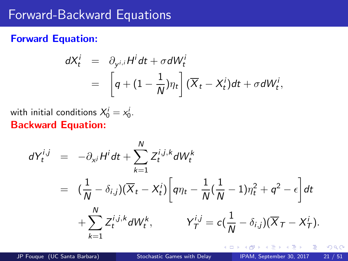#### <span id="page-20-0"></span>Forward-Backward Equations

#### Forward Equation:

$$
dX_t^i = \partial_{y^{i,i}} H^i dt + \sigma dW_t^i
$$
  
= 
$$
\left[ q + (1 - \frac{1}{N}) \eta_t \right] (\overline{X}_t - X_t^i) dt + \sigma dW_t^i,
$$

with initial conditions  $X_0^i = x_0^i$ . Backward Equation:

$$
dY_t^{i,j} = -\partial_{x^j} H^i dt + \sum_{k=1}^N Z_t^{i,j,k} dW_t^k
$$
  
= 
$$
(\frac{1}{N} - \delta_{i,j})(\overline{X}_t - X_t^i) \left[ q\eta_t - \frac{1}{N}(\frac{1}{N} - 1)\eta_t^2 + q^2 - \epsilon \right] dt
$$
  
+ 
$$
\sum_{k=1}^N Z_t^{i,j,k} dW_t^k, \qquad Y_T^{i,j} = c(\frac{1}{N} - \delta_{i,j})(\overline{X}_T - X_T^i).
$$

4 0 8

重

 $298$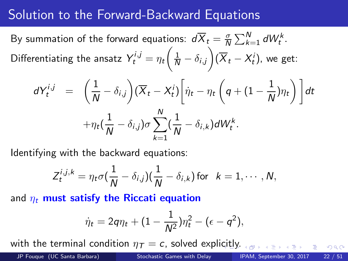### Solution to the Forward-Backward Equations

By summation of the forward equations:  $d\overline{X}_t = \frac{\sigma}{N} \sum_{k=1}^N dW_t^k$ . Differentiating the ansatz  $Y_t^{i,j} = \eta_t \bigg(\frac{1}{N} - \delta_{i,j}\bigg)(\overline{X}_t - X_t^i)$ , we get:

$$
dY_t^{i,j} = \left(\frac{1}{N} - \delta_{i,j}\right)(\overline{X}_t - X_t^i)\left[\dot{\eta}_t - \eta_t\left(q + (1 - \frac{1}{N})\eta_t\right)\right]dt
$$

$$
+ \eta_t\left(\frac{1}{N} - \delta_{i,j}\right)\sigma\sum_{k=1}^N\left(\frac{1}{N} - \delta_{i,k}\right)dW_t^k.
$$

Identifying with the backward equations:

$$
Z_t^{i,j,k} = \eta_t \sigma(\frac{1}{N} - \delta_{i,j})(\frac{1}{N} - \delta_{i,k})
$$
 for  $k = 1, \cdots, N$ ,

and  $\eta_t$  must satisfy the Riccati equation

$$
\dot{\eta}_t=2q\eta_t+(1-\frac{1}{N^2})\eta_t^2-(\epsilon-q^2),
$$

with the terminal condition  $\eta_{\tau} = c$ , solved expli[cit](#page-20-0)l[y.](#page-22-0)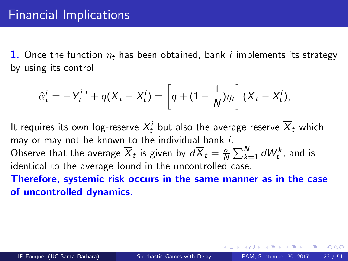<span id="page-22-0"></span>1. Once the function  $\eta_t$  has been obtained, bank *i* implements its strategy by using its control

$$
\hat{\alpha}_t^i = -Y_t^{i,i} + q(\overline{X}_t - X_t^i) = \left[q + (1 - \frac{1}{N})\eta_t\right](\overline{X}_t - X_t^i),
$$

It requires its own log-reserve  $X_t^i$  but also the average reserve  $\overline{X}_t$  which may or may not be known to the individual bank i.

Observe that the average  $\overline{X}_t$  is given by  $d\overline{X}_t=\frac{\sigma}{N}$  $\frac{\sigma}{N}\sum_{k=1}^N dW_t^k$ , and is identical to the average found in the uncontrolled case.

Therefore, systemic risk occurs in the same manner as in the case of uncontrolled dynamics.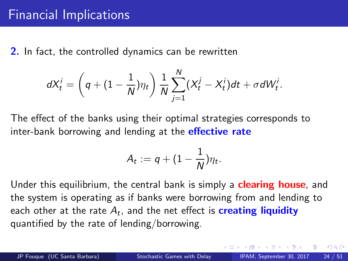2. In fact, the controlled dynamics can be rewritten

$$
dX_t^i = \left(q + (1 - \frac{1}{N})\eta_t\right) \frac{1}{N} \sum_{j=1}^N (X_t^j - X_t^i) dt + \sigma dW_t^i.
$$

The effect of the banks using their optimal strategies corresponds to inter-bank borrowing and lending at the **effective rate** 

$$
A_t := q + (1 - \frac{1}{N})\eta_t.
$$

Under this equilibrium, the central bank is simply a **clearing house**, and the system is operating as if banks were borrowing from and lending to each other at the rate  $A_t$ , and the net effect is  $\boldsymbol{\mathsf{creating}}$  liquidity quantified by the rate of lending/borrowing.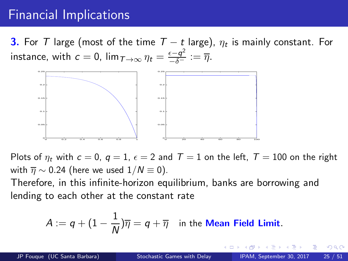## Financial Implications

**3.** For  $T$  large (most of the time  $T - t$  large),  $\eta_t$  is mainly constant. For instance, with  $c = 0$ ,  $\lim_{T \to \infty} \eta_t = \frac{\epsilon - q^2}{-\delta^-} := \overline{\eta}$ .



Plots of  $\eta_t$  with  $c = 0$ ,  $q = 1$ ,  $\epsilon = 2$  and  $T = 1$  on the left,  $T = 100$  on the right with  $\overline{\eta} \sim 0.24$  (here we used  $1/N \equiv 0$ ).

Therefore, in this infinite-horizon equilibrium, banks are borrowing and lending to each other at the constant rate

$$
A:=q+(1-\frac{1}{N})\overline{\eta}=q+\overline{\eta} \quad \text{in the Mean Field Limit}.
$$

 $\Omega$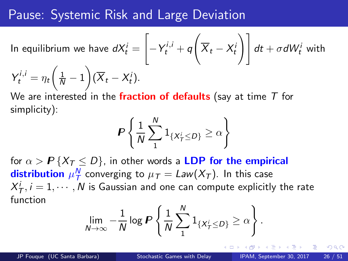#### Pause: Systemic Risk and Large Deviation

In equilibrium we have  $dX_t^i =$  $\overline{ }$  $-Y_t^{i,i} + q$  $\sqrt{ }$  $\left. \overline{X}_t - X^i_t \right) \bigg| \ dt + \sigma d \overline{W^i_t}$  with  $Y_t^{i,i} = \eta_t \left( \frac{1}{N} - 1 \right) (\overline{X}_t - X_t^i).$ 

We are interested in the fraction of defaults (say at time  $T$  for simplicity):

$$
P\left\{\frac{1}{N}\sum_{1}^{N}1_{\{X_{T}^{i}\leq D\}}\geq\alpha\right\}
$$

for  $\alpha > P\{X_T \leq D\}$ , in other words a LDP for the empirical **distribution**  $\mu_T^N$  converging to  $\mu_T = Law(X_T)$ . In this case  $X_{\mathcal{T}}^i, i=1,\cdots,N$  is Gaussian and one can compute explicitly the rate function

$$
\lim_{N\to\infty}-\frac{1}{N}\log P\left\{\frac{1}{N}\sum_{1}^{N}\mathbb{1}_{\{X_{T}^{i}\leq D\}}\geq\alpha\right\}.
$$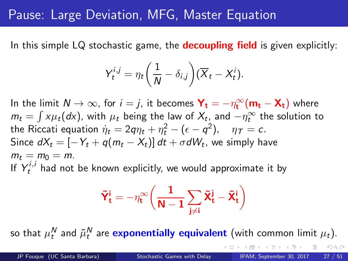### <span id="page-26-0"></span>Pause: Large Deviation, MFG, Master Equation

In this simple LQ stochastic game, the **decoupling field** is given explicitly:

$$
Y_t^{i,j} = \eta_t \bigg(\frac{1}{N} - \delta_{i,j}\bigg)(\overline{X}_t - X_t^i).
$$

In the limit  $N \to \infty$ , for  $i = j$ , it becomes  $\mathbf{Y_t} = -\eta_t^{\infty}(\mathbf{m_t} - \mathbf{X_t})$  where  $m_t = \int x \mu_t(dx)$ , with  $\mu_t$  being the law of  $X_t$ , and  $-\eta_t^{\infty}$  the solution to the Riccati equation  $\dot{\eta}_t = 2q\eta_t + \eta_t^2 - (\epsilon - q^2), \quad \eta_\tau = c.$ Since  $dX_t = [-Y_t + q(m_t - X_t)] dt + \sigma dW_t$ , we simply have  $m_t = m_0 = m$ . If  $Y_t^{i,i}$  had not be known explicitly, we would approximate it by

$$
\boldsymbol{\tilde{Y}}_t^i = -\eta_t^\infty\bigg(\frac{1}{\textbf{N}-1}\sum_{j\neq i}\boldsymbol{\tilde{X}}_t^j - \boldsymbol{\tilde{X}}_t^i\bigg)
$$

so that  $\mu_t^N$  and  $\tilde{\mu}_t^N$  are  $\bm{\text{exponentially}}$  equivalent (with common limit  $\mu_t$ ).

 $QQQ$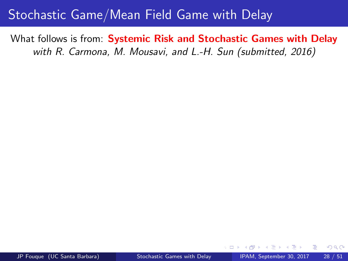### <span id="page-27-0"></span>Stochastic Game/Mean Field Game with Delay

What follows is from: Systemic Risk and Stochastic Games with Delay with R. Carmona, M. Mousavi, and L.-H. Sun (submitted, 2016)

Case τ = T: no return/delay −→ full liquidi[ty.](#page-26-0)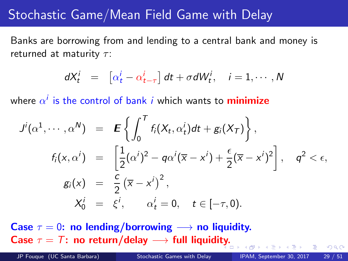### <span id="page-28-0"></span>Stochastic Game/Mean Field Game with Delay

Banks are borrowing from and lending to a central bank and money is returned at maturity  $\tau$ :

$$
dX_t^i = \left[ \alpha_t^i - \alpha_{t-\tau}^i \right] dt + \sigma dW_t^i, \quad i = 1, \cdots, N
$$

where  $\alpha^i$  is the control of bank  $i$  which wants to  $\mathsf{minimize}$ 

$$
J^{i}(\alpha^{1}, \cdots, \alpha^{N}) = \mathbf{E}\left\{\int_{0}^{T} f_{i}(X_{t}, \alpha_{t}^{i})dt + g_{i}(X_{T})\right\},
$$
  
\n
$$
f_{i}(x, \alpha^{i}) = \left[\frac{1}{2}(\alpha^{i})^{2} - q\alpha^{i}(\overline{x} - x^{i}) + \frac{\epsilon}{2}(\overline{x} - x^{i})^{2}\right], \quad q^{2} < \epsilon,
$$
  
\n
$$
g_{i}(x) = \frac{c}{2}(\overline{x} - x^{i})^{2},
$$
  
\n
$$
X_{0}^{i} = \xi^{i}, \quad \alpha_{t}^{i} = 0, \quad t \in [-\tau, 0).
$$

Case  $\tau = 0$ : no lending/borrowing  $\longrightarrow$  no liquidity. Case  $\tau = T$ : no return/delay  $\longrightarrow$  full liquidi[ty.](#page-27-0)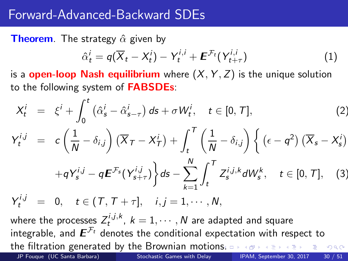#### <span id="page-29-0"></span>Forward-Advanced-Backward SDEs

**Theorem**. The strategy  $\hat{\alpha}$  given by

<span id="page-29-1"></span>
$$
\hat{\alpha}_t^i = q(\overline{X}_t - X_t^i) - Y_t^{i,i} + \boldsymbol{E}^{\mathcal{F}_t}(Y_{t+\tau}^{i,i})
$$
\n(1)

is a **open-loop Nash equilibrium** where  $(X, Y, Z)$  is the unique solution to the following system of **FABSDEs**:

<span id="page-29-2"></span>
$$
X_t^i = \xi^i + \int_0^t \left( \hat{\alpha}_s^i - \hat{\alpha}_{s-\tau}^i \right) ds + \sigma W_t^i, \quad t \in [0, T],
$$
\n
$$
Y_t^{i,j} = c \left( \frac{1}{N} - \delta_{i,j} \right) \left( \overline{X}_T - X_T^i \right) + \int_t^T \left( \frac{1}{N} - \delta_{i,j} \right) \left\{ \left( \epsilon - q^2 \right) \left( \overline{X}_s - X_s^i \right) + q Y_s^{i,j} - q \mathbf{E}^{\mathcal{F}_s} \left( Y_{s+\tau}^{i,j} \right) \right\} ds - \sum_{k=1}^N \int_t^T Z_s^{i,j,k} dW_s^k, \quad t \in [0, T],
$$
\n(3)

<span id="page-29-3"></span> $Y_t^{i,j} = 0, \quad t \in (T, T + \tau], \quad i, j = 1, \cdots, N,$ 

where the processes  $Z_t^{i,j,k},\ k=1,\cdots,N$  are adapted and square integrable, and  $\boldsymbol{E}^{\mathcal{F}_t}$  denotes the conditional expectation with respect to the filtration generated by the Brownian motion[s.](#page-28-0)  $\equiv$  990

JP Fouque (UC Santa Barbara) [Stochastic Games with Delay](#page-0-0) IPAM, September 30, 2017 30 / 51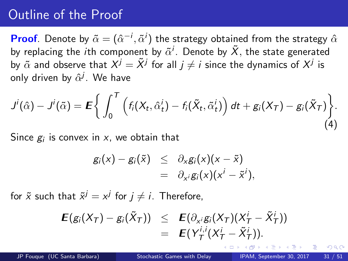<span id="page-30-0"></span>**Proof**. Denote by  $\tilde{\alpha} = (\hat{\alpha}^{-i}, \tilde{\alpha}^{i})$  the strategy obtained from the strategy  $\hat{\alpha}$ by replacing the  $i$ th component by  $\tilde{\alpha}^i$ . Denote by  $\tilde{X},$  the state generated by  $\tilde{\alpha}$  and observe that  $X^j = \tilde{X}^j$  for all  $j \neq i$  since the dynamics of  $X^j$  is only driven by  $\hat{\alpha}^j.$  We have

$$
J^{i}(\hat{\alpha}) - J^{i}(\tilde{\alpha}) = \mathbf{E} \bigg\{ \int_0^T \left( f_i(X_t, \hat{\alpha}_t^i) - f_i(\tilde{X}_t, \tilde{\alpha}_t^i) \right) dt + g_i(X_T) - g_i(\tilde{X}_T) \bigg\}.
$$
\n(4)

Since  $g_i$  is convex in  $\boldsymbol{\mathsf{x}}$ , we obtain that

$$
g_i(x) - g_i(\tilde{x}) \leq \partial_x g_i(x)(x - \tilde{x})
$$
  
=  $\partial_{x^i} g_i(x)(x^i - \tilde{x}^i),$ 

for  $\tilde{x}$  such that  $\tilde{x}^j = x^j$  for  $j \neq i$ . Therefore,

$$
\begin{array}{rcl}\n\mathbf{E}(g_i(X_T)-g_i(\tilde{X}_T)) & \leq & \mathbf{E}(\partial_{x^i}g_i(X_T)(X_T^i-\tilde{X}_T^i)) \\
& = & \mathbf{E}(Y_T^{i,i}(X_T^i-\tilde{X}_T^i)).\n\end{array}
$$

<span id="page-30-1"></span>つひひ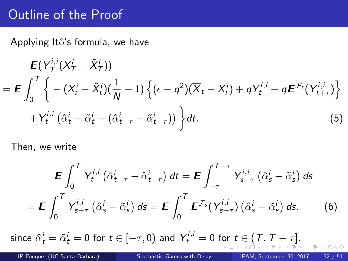<span id="page-31-0"></span>Applying Itô's formula, we have

$$
\mathbf{E}(Y_T^{i,i}(X_T^i - \tilde{X}_T^i))
$$
\n
$$
= \mathbf{E} \int_0^T \left\{ -(X_t^i - \tilde{X}_t^i)(\frac{1}{N} - 1) \left\{ (\epsilon - q^2)(\overline{X}_t - X_t^i) + qY_t^{i,i} - q\mathbf{E}^{\mathcal{F}_t}(Y_{t+\tau}^{i,i}) \right\} \right. \\
\left. + Y_t^{i,i} \left( \hat{\alpha}_t^i - \tilde{\alpha}_t^i - (\hat{\alpha}_{t-\tau}^i - \tilde{\alpha}_{t-\tau}^i) \right) \right\} dt.
$$
\n(5)

Then, we write

<span id="page-31-2"></span><span id="page-31-1"></span>
$$
\mathbf{E} \int_0^T Y_t^{i,j} \left( \hat{\alpha}_{t-\tau}^i - \tilde{\alpha}_{t-\tau}^i \right) dt = \mathbf{E} \int_{-\tau}^{T-\tau} Y_{s+\tau}^{i,j} \left( \hat{\alpha}_s^i - \tilde{\alpha}_s^i \right) ds
$$

$$
= \mathbf{E} \int_0^T Y_{s+\tau}^{i,j} \left( \hat{\alpha}_s^i - \tilde{\alpha}_s^i \right) ds = \mathbf{E} \int_0^T \mathbf{E}^{\mathcal{F}_s} (Y_{s+\tau}^{i,j}) \left( \hat{\alpha}_s^i - \tilde{\alpha}_s^i \right) ds. \tag{6}
$$

since $\hat{\alpha}_t^i = \tilde{\alpha}_t^i = 0$  f[or](#page-30-0)  $t \in [-\tau, 0)$  $t \in [-\tau, 0)$  $t \in [-\tau, 0)$  and  $Y_t^{i,i} = 0$  for  $t \in [\mathcal{T}, \mathcal{T} + \tau].$  $t \in [\mathcal{T}, \mathcal{T} + \tau].$  $t \in [\mathcal{T}, \mathcal{T} + \tau].$  $t \in [\mathcal{T}, \mathcal{T} + \tau].$  $t \in [\mathcal{T}, \mathcal{T} + \tau].$  $t \in [\mathcal{T}, \mathcal{T} + \tau].$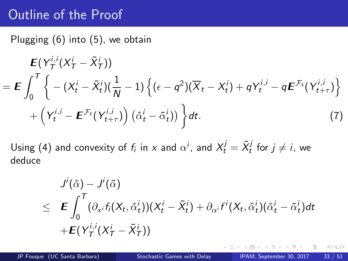<span id="page-32-0"></span>Plugging [\(6\)](#page-31-1) into [\(5\)](#page-31-2), we obtain

$$
\mathbf{E}(Y_T^{i,i}(X_T^i - \tilde{X}_T^i))
$$
\n
$$
= \mathbf{E} \int_0^T \left\{ -(X_t^i - \tilde{X}_t^i)(\frac{1}{N} - 1) \left\{ (\epsilon - q^2)(\overline{X}_t - X_t^i) + qY_t^{i,i} - q\mathbf{E}^{\mathcal{F}_t}(Y_{t+\tau}^{i,i}) \right\} + \left(Y_t^{i,i} - \mathbf{E}^{\mathcal{F}_t}(Y_{t+\tau}^{i,i})\right) (\hat{\alpha}_t^i - \tilde{\alpha}_t^i)) \right\} dt.
$$
\n(7)

Using [\(4\)](#page-30-1) and convexity of  $f_i$  in x and  $\alpha^i$ , and  $X_t^j = \tilde{X}_t^j$  for  $j \neq i$ , we deduce

$$
J^i(\hat{\alpha}) - J^i(\tilde{\alpha})
$$
  
\n
$$
\leq \mathbf{E} \int_0^T (\partial_{x^i} f_i(X_t, \hat{\alpha}_t^i))(X_t^i - \tilde{X}_t^i) + \partial_{\alpha^i} f^i(X_t, \hat{\alpha}_t^i)(\hat{\alpha}_t^i - \tilde{\alpha}_t^i)dt
$$
  
\n
$$
+ \mathbf{E}(Y_T^{i,i}(X_T^i - \tilde{X}_T^i))
$$

<span id="page-32-1"></span>4 0 8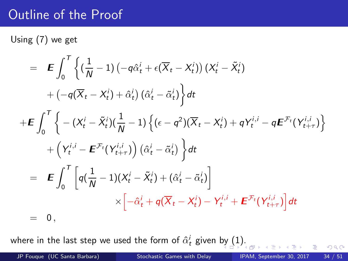Using [\(7\)](#page-32-1) we get

$$
= \mathbf{E} \int_0^T \left\{ \left( \frac{1}{N} - 1 \right) \left( -q \hat{\alpha}_t^i + \epsilon (\overline{X}_t - X_t^i) \right) \left( X_t^i - \tilde{X}_t^i \right) \right.+ \left( -q (\overline{X}_t - X_t^i) + \hat{\alpha}_t^i \right) \left( \hat{\alpha}_t^i - \tilde{\alpha}_t^i \right) \right\} dt+ \mathbf{E} \int_0^T \left\{ - \left( X_t^i - \tilde{X}_t^i \right) \left( \frac{1}{N} - 1 \right) \left\{ \left( \epsilon - q^2 \right) \left( \overline{X}_t - X_t^i \right) + q Y_t^{i,i} - q \mathbf{E}^{\mathcal{F}_t} \left( Y_{t+\tau}^{i,i} \right) \right\} \right.+ \left( Y_t^{i,i} - \mathbf{E}^{\mathcal{F}_t} \left( Y_{t+\tau}^{i,i} \right) \right) \left( \hat{\alpha}_t^i - \tilde{\alpha}_t^i \right) \right\} dt= \mathbf{E} \int_0^T \left[ q \left( \frac{1}{N} - 1 \right) \left( X_t^i - \tilde{X}_t^i \right) + \left( \hat{\alpha}_t^i - \tilde{\alpha}_t^i \right) \right] \times \left[ -\hat{\alpha}_t^i + q (\overline{X}_t - X_t^i) - Y_t^{i,i} + \mathbf{E}^{\mathcal{F}_t} \left( Y_{t+\tau}^{i,i} \right) \right] dt= 0,
$$

where in the last step we used the form of  $\hat{\alpha}^i_t$  given [by](#page-32-0)  $(1).$  $(1).$  $(1).$ 

 $298$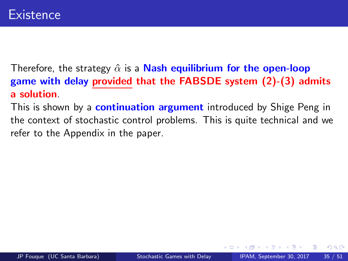<span id="page-34-0"></span>Therefore, the strategy  $\hat{\alpha}$  is a **Nash equilibrium for the open-loop** game with delay provided that the FABSDE system [\(2\)](#page-29-2)-[\(3\)](#page-29-3) admits a solution.

This is shown by a **continuation argument** introduced by Shige Peng in the context of stochastic control problems. This is quite technical and we refer to the Appendix in the paper.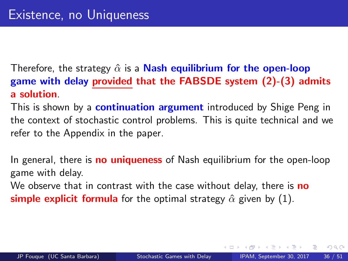<span id="page-35-0"></span>Therefore, the strategy  $\hat{\alpha}$  is a **Nash equilibrium for the open-loop** game with delay provided that the FABSDE system [\(2\)](#page-29-2)-[\(3\)](#page-29-3) admits a solution.

This is shown by a **continuation argument** introduced by Shige Peng in the context of stochastic control problems. This is quite technical and we refer to the Appendix in the paper.

In general, there is **no uniqueness** of Nash equilibrium for the open-loop game with delay.

We observe that in contrast with the case without delay, there is **no** simple explicit formula for the optimal strategy  $\hat{\alpha}$  given by [\(1\)](#page-29-1).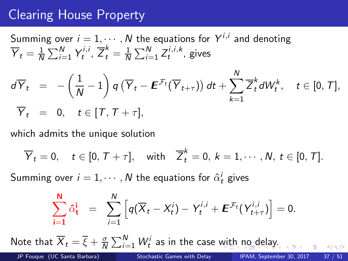## <span id="page-36-0"></span>Clearing House Property

Summing over 
$$
i = 1, \dots, N
$$
 the equations for  $Y^{i,i}$  and denoting  
\n
$$
\overline{Y}_t = \frac{1}{N} \sum_{i=1}^N Y_t^{i,i}, \overline{Z}_t^k = \frac{1}{N} \sum_{i=1}^N Z_t^{i,i,k},
$$
 gives  
\n
$$
d\overline{Y}_t = -\left(\frac{1}{N} - 1\right) q \left(\overline{Y}_t - \boldsymbol{E}^{\mathcal{F}_t}(\overline{Y}_{t+\tau})\right) dt + \sum_{k=1}^N \overline{Z}_t^k dW_t^k, \quad t \in [0, T],
$$
\n
$$
\overline{Y}_t = 0, \quad t \in [T, T + \tau],
$$

which admits the unique solution

$$
\overline{Y}_t = 0, \quad t \in [0, T + \tau], \quad \text{with} \quad \overline{Z}_t^k = 0, \ k = 1, \cdots, N, \ t \in [0, T].
$$

Summing over  $i=1,\cdots,N$  the equations for  $\hat{\alpha}^i_t$  gives

$$
\sum_{i=1}^N \hat{\alpha}_t^i = \sum_{i=1}^N \left[ q(\overline{X}_t - X_t^i) - Y_t^{i,i} + \boldsymbol{E}^{\mathcal{F}_t} (Y_{t+\tau}^{i,i}) \right] = 0.
$$

Note that  $\overline{X}_t = \overline{\xi} + \frac{\sigma}{\Lambda}$  $\frac{\sigma}{N}\sum_{i=1}^N W^i_t$  as in the case [wit](#page-35-0)[h](#page-37-0) [n](#page-35-0)[o](#page-36-0) [de](#page-37-0)[la](#page-0-0)[y.](#page-50-0)

JP Fouque (UC Santa Barbara) [Stochastic Games with Delay](#page-0-0) IPAM, September 30, 2017 37 / 51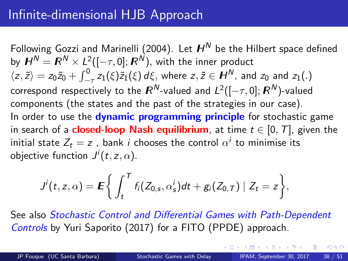<span id="page-37-0"></span>Following Gozzi and Marinelli (2004). Let  $H^N$  be the Hilbert space defined by  $\boldsymbol{H}^{\boldsymbol{N}}=\boldsymbol{R}^{\boldsymbol{N}}\times\boldsymbol{L}^2([-\tau,0];\boldsymbol{R}^{\boldsymbol{N}}),$  with the inner product  $\langle z,\tilde{z}\rangle=z_0\tilde{z}_0+\int_{-\tau}^0 z_1(\xi)\tilde{z}_1(\xi)\,d\xi,$  where  $z,\tilde{z}\in H^N$ , and  $z_0$  and  $z_1(.)$ correspond respectively to the  $\bm{\mathit{R}}^{\bm{\mathit{N}}}$ -valued and  $\bm{\mathit{L}}^2([-\tau,0];\bm{\mathit{R}}^{\bm{\mathit{N}}})$ -valued components (the states and the past of the strategies in our case). In order to use the **dynamic programming principle** for stochastic game in search of a **closed-loop Nash equilibrium**, at time  $t \in [0, T]$ , given the initial state  $Z_t=z$  , bank  $i$  chooses the control  $\alpha^i$  to minimise its objective function  $J^i(t,z,\alpha).$ 

$$
J^{i}(t,z,\alpha) = \mathbf{E}\bigg\{\int_{t}^{T}f_{i}(Z_{0,s},\alpha_{s}^{i})dt + g_{i}(Z_{0,T})\mid Z_{t}=z\bigg\},\,
$$

See also Stochastic Control and Differential Games with Path-Dependent Controls by Yuri Saporito (2017) for a FITO (PPDE) approach.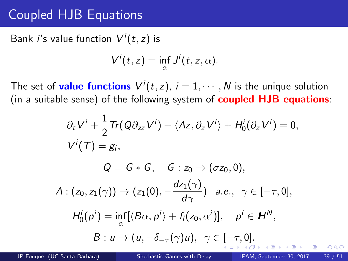## <span id="page-38-0"></span>Coupled HJB Equations

Bank *i*'s value function  $V^i(t,z)$  is

$$
V^{i}(t,z)=\inf_{\alpha}J^{i}(t,z,\alpha).
$$

The set of **value functions**  $V^{i}(t, z)$ ,  $i = 1, \dots, N$  is the unique solution (in a suitable sense) of the following system of **coupled HJB equations**:

$$
\partial_t V^i + \frac{1}{2} \text{Tr}(Q \partial_{zz} V^i) + \langle Az, \partial_z V^i \rangle + H_0^i(\partial_z V^i) = 0,
$$
\n
$$
V^i(T) = g_i,
$$
\n
$$
Q = G * G, \quad G : z_0 \to (\sigma z_0, 0),
$$
\n
$$
A : (z_0, z_1(\gamma)) \to (z_1(0), -\frac{dz_1(\gamma)}{d\gamma}) \quad a.e., \quad \gamma \in [-\tau, 0],
$$
\n
$$
H_0^i(p^i) = \inf_{\alpha} [\langle B\alpha, p^i \rangle + f_i(z_0, \alpha^i)], \quad p^i \in H^N,
$$
\n
$$
B : u \to (u, -\delta_{-\tau}(\gamma)u), \quad \gamma \in [-\tau, 0].
$$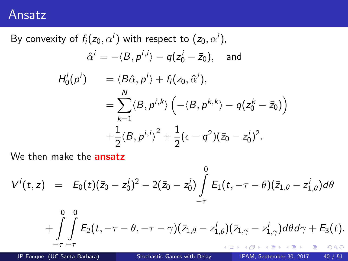#### <span id="page-39-0"></span>Ansatz

By convexity of  $f_i(z_0,\alpha^i)$  with respect to  $(z_0,\alpha^i)$ ,  $\hat{\alpha}^i = -\langle B, p^{i,j}\rangle - q(z_0^i - \bar{z}_0), \quad \text{and}$  $H_0^i(p^i)$  =  $\langle B\hat{\alpha}, p^i \rangle + f_i(z_0, \hat{\alpha}^i),$  $=$   $\sum$ N  $_{k=1}$  $\langle B, p^{i,k} \rangle \left( -\langle B, p^{k,k} \rangle - q(z_0^k - \bar{z}_0) \right)$  $+\frac{1}{2}$  $\frac{1}{2}\langle B, p^{i,j}\rangle^2 + \frac{1}{2}$  $\frac{1}{2}(\epsilon - q^2)(\bar{z}_0 - z_0^i)^2.$ 

We then make the **ansatz** 

$$
V^{i}(t,z) = E_{0}(t)(\bar{z}_{0} - z_{0}^{i})^{2} - 2(\bar{z}_{0} - z_{0}^{i}) \int_{-\tau}^{0} E_{1}(t, -\tau - \theta)(\bar{z}_{1,\theta} - z_{1,\theta}^{i}) d\theta
$$

$$
+\int\limits_{-\tau}^0\int\limits_{-\tau}^0E_2(t,-\tau-\theta,-\tau-\gamma)(\bar{z}_{1,\theta}-z^i_{1,\theta})(\bar{z}_{1,\gamma}-z^i_{1,\gamma})d\theta d\gamma+E_3(t).
$$

JP Fouque (UC Santa Barbara) [Stochastic Games with Delay](#page-0-0) IPAM, September 30, 2017 40 / 51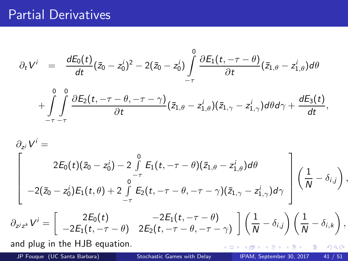#### Partial Derivatives

$$
\partial_t V^i \;\; = \;\; \frac{dE_0(t)}{dt} (\bar{z}_0 - z_0^i)^2 - 2(\bar{z}_0 - z_0^i) \int\limits_{-\tau}^0 \frac{\partial E_1(t, -\tau - \theta)}{\partial t} (\bar{z}_{1, \theta} - z_{1, \theta}^i) d\theta
$$

$$
+\int\limits_{-\tau}^{0}\int\limits_{-\tau}^{0}\frac{\partial E_2(t,-\tau-\theta,-\tau-\gamma)}{\partial t}(\bar{z}_{1,\theta}-z^{i}_{1,\theta})(\bar{z}_{1,\gamma}-z^{i}_{1,\gamma})d\theta d\gamma+\frac{dE_3(t)}{dt},
$$

$$
\partial_{z^j} V^i =
$$
\n
$$
2E_0(t)(\bar{z}_0 - z_0^i) - 2 \int\limits_{-\tau}^0 E_1(t, -\tau - \theta)(\bar{z}_{1,\theta} - z_{1,\theta}^i) d\theta
$$
\n
$$
-2(\bar{z}_0 - z_0^i) E_1(t, \theta) + 2 \int\limits_{-\tau}^0 E_2(t, -\tau - \theta, -\tau - \gamma)(\bar{z}_{1,\gamma} - z_{1,\gamma}^i) d\gamma \Bigg] \left(\frac{1}{N} - \delta_{i,j}\right),
$$

$$
\partial_{z^jz^k}V^i=\begin{bmatrix} 2E_0(t) & -2E_1(t,-\tau-\theta) \\ -2E_1(t,-\tau-\theta) & 2E_2(t,-\tau-\theta,-\tau-\gamma) \end{bmatrix} \left(\frac{1}{N}-\delta_{i,j}\right)\left(\frac{1}{N}-\delta_{i,k}\right),
$$

and plug in the HJB equation.

JP Fouque (UC Santa Barbara) [Stochastic Games with Delay](#page-0-0) IPAM, September 30, 2017 41 / 51

化重新 化重新

**← ロ ▶ → イ 冊** 

 $298$ 

重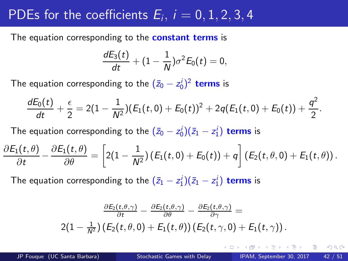# PDEs for the coefficients  $E_i$ ,  $i = 0, 1, 2, 3, 4$

The equation corresponding to the **constant terms** is

$$
\frac{dE_3(t)}{dt}+(1-\frac{1}{N})\sigma^2E_0(t)=0,
$$

The equation corresponding to the  $(\bar{z}_0 - z_0^i)^2$  terms is

$$
\frac{dE_0(t)}{dt}+\frac{\epsilon}{2}=2(1-\frac{1}{N^2})(E_1(t,0)+E_0(t))^2+2q(E_1(t,0)+E_0(t))+\frac{q^2}{2}.
$$

The equation corresponding to the  $(\bar{z}_0 - z_0^i)(\bar{z}_1 - z_1^i)$  terms is

$$
\frac{\partial E_1(t,\theta)}{\partial t} - \frac{\partial E_1(t,\theta)}{\partial \theta} = \left[2(1-\frac{1}{N^2})\left(E_1(t,0) + E_0(t)\right) + q\right]\left(E_2(t,\theta,0) + E_1(t,\theta)\right).
$$

The equation corresponding to the  $(\bar{z}_1 - z_1^i)(\bar{z}_1 - z_1^i)$  terms is

$$
\frac{\frac{\partial E_2(t,\theta,\gamma)}{\partial t}-\frac{\partial E_2(t,\theta,\gamma)}{\partial \theta}-\frac{\partial E_2(t,\theta,\gamma)}{\partial \gamma}}{2(1-\frac{1}{N^2})\left(E_2(t,\theta,0)+E_1(t,\theta)\right)\left(E_2(t,\gamma,0)+E_1(t,\gamma)\right).
$$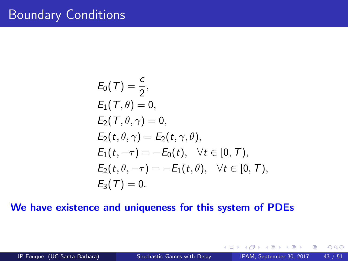$$
E_0(T) = \frac{c}{2},
$$
  
\n
$$
E_1(T, \theta) = 0,
$$
  
\n
$$
E_2(T, \theta, \gamma) = 0,
$$
  
\n
$$
E_2(t, \theta, \gamma) = E_2(t, \gamma, \theta),
$$
  
\n
$$
E_1(t, -\tau) = -E_0(t), \quad \forall t \in [0, T),
$$
  
\n
$$
E_2(t, \theta, -\tau) = -E_1(t, \theta), \quad \forall t \in [0, T),
$$
  
\n
$$
E_3(T) = 0.
$$

#### We have existence and uniqueness for this system of PDEs

4 0 8

 $2Q$ 

э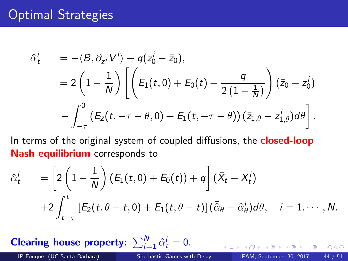### Optimal Strategies

$$
\begin{array}{lll} \hat{\alpha}^i_t & = -\langle B, \partial_{z^i} V^i \rangle - q(z^i_0 - \bar{z}_0), \\ & = 2\left(1 - \frac{1}{N}\right) \left[ \left(E_1(t,0) + E_0(t) + \frac{q}{2\left(1 - \frac{1}{N}\right)}\right) \left(\bar{z}_0 - z^i_0\right) \right. \\ & & \left. - \int_{-\tau}^0 \left(E_2(t, -\tau - \theta, 0) + E_1(t, -\tau - \theta)\right) \left(\bar{z}_{1,\theta} - z^i_{1,\theta}\right) d\theta \right]. \end{array}
$$

In terms of the original system of coupled diffusions, the **closed-loop** Nash equilibrium corresponds to

$$
\hat{\alpha}_t^i = \left[2\left(1-\frac{1}{N}\right)\left(E_1(t,0)+E_0(t)\right)+q\right](\bar{X}_t-X_t^i) \n+2\int_{t-\tau}^t \left[E_2(t,\theta-t,0)+E_1(t,\theta-t)\right](\bar{\hat{\alpha}}_{\theta}-\hat{\alpha}_{\theta}^i)d\theta, \quad i=1,\cdots,N.
$$

Clearing house property:  $\sum_{i=1}^{N} \hat{\alpha}_t^i = 0$ .

JP Fouque (UC Santa Barbara) [Stochastic Games with Delay](#page-0-0) IPAM, September 30, 2017 44 / 51

 $QQ$ 

4 D F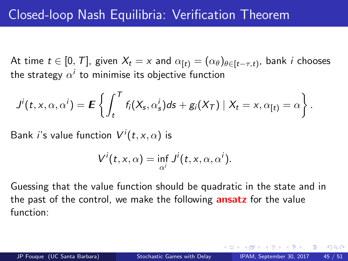At time  $t\in [0,\,T]$ , given  $X_t=x$  and  $\alpha_{[t)}=(\alpha_\theta)_{\theta\in [t-\tau,t)},$  bank  $i$  chooses the strategy  $\alpha^i$  to minimise its objective function

$$
J^{i}(t,x,\alpha,\alpha^{i}) = \mathbf{E}\left\{\int_{t}^{T} f_{i}(X_{s},\alpha^{i}_{s})ds + g_{i}(X_{T}) \mid X_{t} = x, \alpha_{[t]} = \alpha\right\}.
$$

Bank  $i$ 's value function  $V^i(t,\mathsf{x},\mathsf{\alpha})$  is

$$
V^{i}(t,x,\alpha)=\inf_{\alpha^{i}}J^{i}(t,x,\alpha,\alpha^{i}).
$$

Guessing that the value function should be quadratic in the state and in the past of the control, we make the following **ansatz** for the value function:

 $QQQ$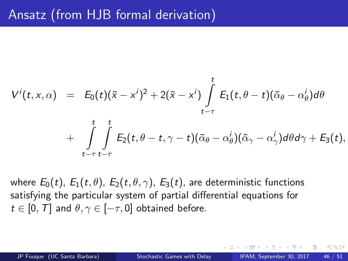$$
V^{i}(t,x,\alpha) = E_{0}(t)(\bar{x}-x^{i})^{2}+2(\bar{x}-x^{i})\int_{t-\tau}^{t}E_{1}(t,\theta-t)(\bar{\alpha}_{\theta}-\alpha_{\theta}^{i})d\theta
$$

$$
+ \int\limits_{t-\tau}^t \int\limits_{t-\tau}^t E_2(t,\theta-t,\gamma-t)(\bar{\alpha}_{\theta}-\alpha_{\theta}^i)(\bar{\alpha}_{\gamma}-\alpha_{\gamma}^i)d\theta d\gamma + E_3(t),
$$

where  $E_0(t)$ ,  $E_1(t, \theta)$ ,  $E_2(t, \theta, \gamma)$ ,  $E_3(t)$ , are deterministic functions satisfying the particular system of partial differential equations for  $t \in [0, T]$  and  $\theta, \gamma \in [-\tau, 0]$  obtained before.

JP Fouque (UC Santa Barbara) [Stochastic Games with Delay](#page-0-0) IPAM, September 30, 2017 46 / 51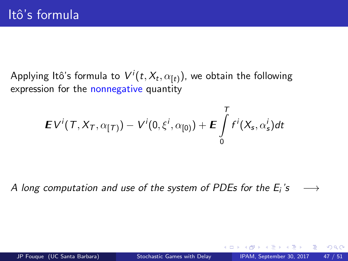Applying Itô's formula to  $V^i(t, X_t, \alpha_{[t)}),$  we obtain the following expression for the nonnegative quantity

$$
\boldsymbol{E} V^i(T,X_T,\alpha_{[T]}) - V^i(0,\xi^i,\alpha_{[0]}) + \boldsymbol{E} \int\limits_0^T f^i(X_s,\alpha_s^i) dt
$$

A long computation and use of the system of PDEs for the  $E_i$ 's  $\longrightarrow$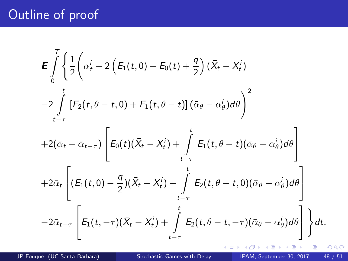## Outline of proof

$$
\mathbf{E} \int_{0}^{T} \left\{ \frac{1}{2} \left( \alpha_{t}^{i} - 2 \left( E_{1}(t, 0) + E_{0}(t) + \frac{q}{2} \right) (\bar{X}_{t} - X_{t}^{i}) - 2 \int_{t-\tau}^{t} \left[ E_{2}(t, \theta - t, 0) + E_{1}(t, \theta - t) \right] (\bar{\alpha}_{\theta} - \alpha_{\theta}^{i}) d\theta \right)^{2} + 2(\bar{\alpha}_{t} - \bar{\alpha}_{t-\tau}) \left[ E_{0}(t) (\bar{X}_{t} - X_{t}^{i}) + \int_{t-\tau}^{t} E_{1}(t, \theta - t) (\bar{\alpha}_{\theta} - \alpha_{\theta}^{i}) d\theta \right] + 2\bar{\alpha}_{t} \left[ (E_{1}(t, 0) - \frac{q}{2}) (\bar{X}_{t} - X_{t}^{i}) + \int_{t-\tau}^{t} E_{2}(t, \theta - t, 0) (\bar{\alpha}_{\theta} - \alpha_{\theta}^{i}) d\theta \right] - 2\bar{\alpha}_{t-\tau} \left[ E_{1}(t, -\tau) (\bar{X}_{t} - X_{t}^{i}) + \int_{t-\tau}^{t} E_{2}(t, \theta - t, -\tau) (\bar{\alpha}_{\theta} - \alpha_{\theta}^{i}) d\theta \right] \right\} dt.
$$

×

э

 $\rightarrow$ Þ

 $\leftarrow$   $\Box$ 4 母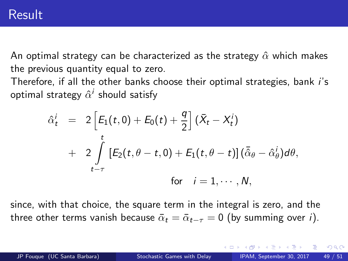An optimal strategy can be characterized as the strategy  $\hat{\alpha}$  which makes the previous quantity equal to zero.

Therefore, if all the other banks choose their optimal strategies, bank i's optimal strategy  $\hat{\alpha}^i$  should satisfy

$$
\hat{\alpha}_t^i = 2 \left[ E_1(t,0) + E_0(t) + \frac{q}{2} \right] (\bar{X}_t - X_t^i)
$$
  
+ 
$$
2 \int_{t-\tau}^t \left[ E_2(t, \theta - t, 0) + E_1(t, \theta - t) \right] (\bar{\hat{\alpha}}_{\theta} - \hat{\alpha}_{\theta}^i) d\theta,
$$
  
for  $i = 1, \dots, N$ ,

since, with that choice, the square term in the integral is zero, and the three other terms vanish because  $\bar{\alpha}_t = \bar{\alpha}_{t-\tau} = 0$  (by summing over *i*).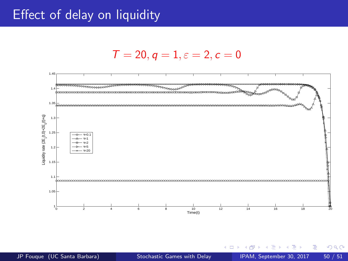#### Effect of delay on liquidity





€ ⊡ .

 $299$